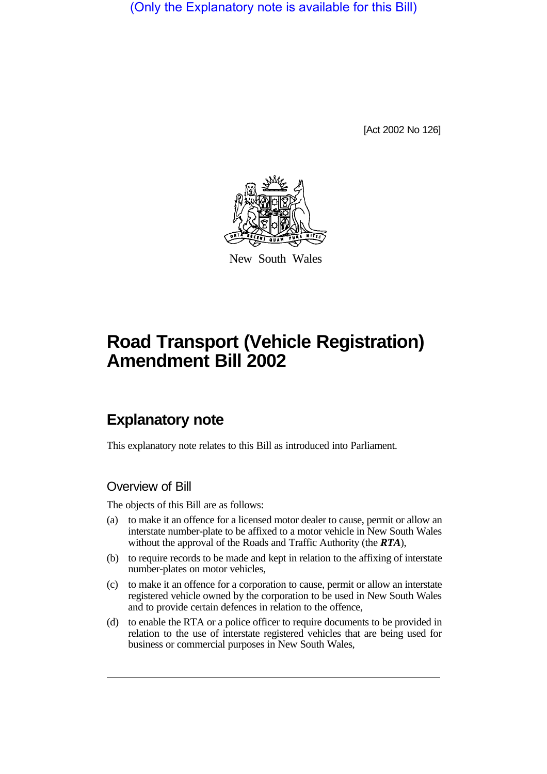(Only the Explanatory note is available for this Bill)

[Act 2002 No 126]



New South Wales

# **Road Transport (Vehicle Registration) Amendment Bill 2002**

## **Explanatory note**

This explanatory note relates to this Bill as introduced into Parliament.

#### Overview of Bill

The objects of this Bill are as follows:

- (a) to make it an offence for a licensed motor dealer to cause, permit or allow an interstate number-plate to be affixed to a motor vehicle in New South Wales without the approval of the Roads and Traffic Authority (the *RTA*),
- (b) to require records to be made and kept in relation to the affixing of interstate number-plates on motor vehicles,
- (c) to make it an offence for a corporation to cause, permit or allow an interstate registered vehicle owned by the corporation to be used in New South Wales and to provide certain defences in relation to the offence,
- (d) to enable the RTA or a police officer to require documents to be provided in relation to the use of interstate registered vehicles that are being used for business or commercial purposes in New South Wales,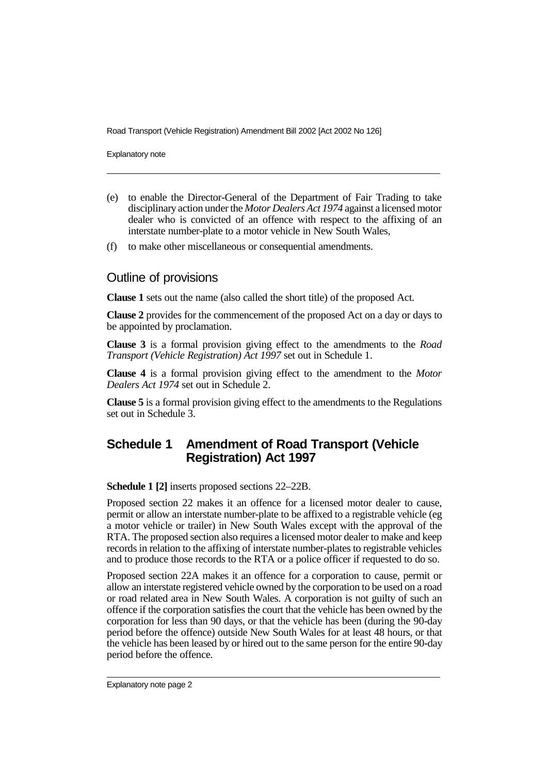Road Transport (Vehicle Registration) Amendment Bill 2002 [Act 2002 No 126]

Explanatory note

- (e) to enable the Director-General of the Department of Fair Trading to take disciplinary action under the *Motor Dealers Act 1974* against a licensed motor dealer who is convicted of an offence with respect to the affixing of an interstate number-plate to a motor vehicle in New South Wales,
- (f) to make other miscellaneous or consequential amendments.

#### Outline of provisions

**Clause 1** sets out the name (also called the short title) of the proposed Act.

**Clause 2** provides for the commencement of the proposed Act on a day or days to be appointed by proclamation.

**Clause 3** is a formal provision giving effect to the amendments to the *Road Transport (Vehicle Registration) Act 1997* set out in Schedule 1.

**Clause 4** is a formal provision giving effect to the amendment to the *Motor Dealers Act 1974* set out in Schedule 2.

**Clause 5** is a formal provision giving effect to the amendments to the Regulations set out in Schedule 3.

#### **Schedule 1 Amendment of Road Transport (Vehicle Registration) Act 1997**

**Schedule 1 [2]** inserts proposed sections 22–22B.

Proposed section 22 makes it an offence for a licensed motor dealer to cause, permit or allow an interstate number-plate to be affixed to a registrable vehicle (eg a motor vehicle or trailer) in New South Wales except with the approval of the RTA. The proposed section also requires a licensed motor dealer to make and keep records in relation to the affixing of interstate number-plates to registrable vehicles and to produce those records to the RTA or a police officer if requested to do so.

Proposed section 22A makes it an offence for a corporation to cause, permit or allow an interstate registered vehicle owned by the corporation to be used on a road or road related area in New South Wales. A corporation is not guilty of such an offence if the corporation satisfies the court that the vehicle has been owned by the corporation for less than 90 days, or that the vehicle has been (during the 90-day period before the offence) outside New South Wales for at least 48 hours, or that the vehicle has been leased by or hired out to the same person for the entire 90-day period before the offence.